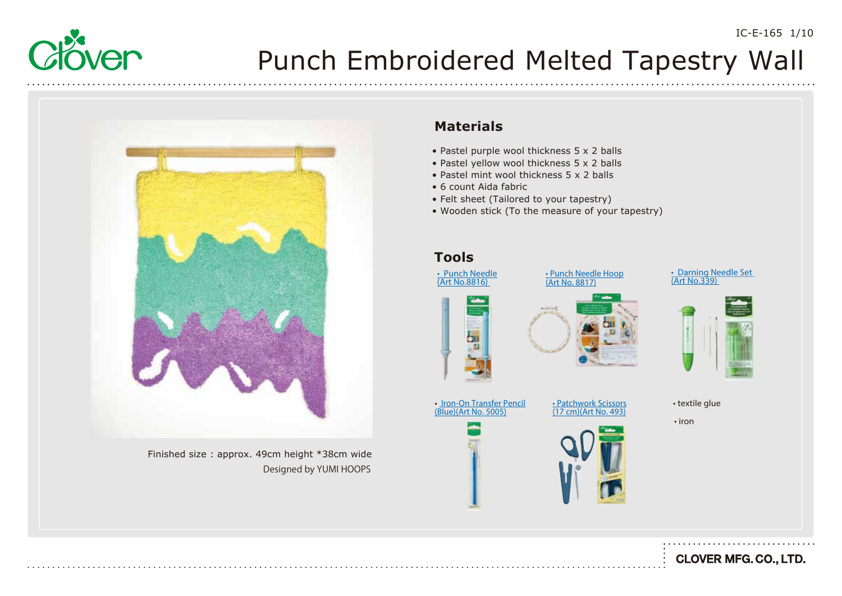



Finished size : approx. 49cm height \*38cm wide Designed by YUMI HOOPS

#### **Materials**

- Pastel purple wool thickness 5 x 2 balls
- Pastel yellow wool thickness 5 x 2 balls
- Pastel mint wool thickness 5 x 2 balls
- 6 count Aida fabric
- Felt sheet (Tailored to your tapestry)
- Wooden stick (To the measure of your tapestry)

#### **Tools**











• iron



**CLOVER MFG. CO., LTD.**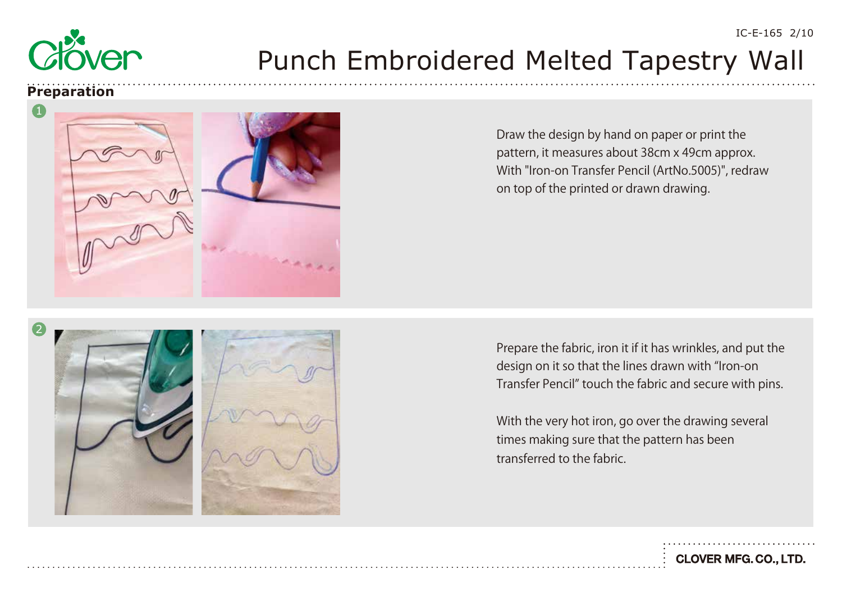

#### **Preparation**



Draw the design by hand on paper or print the pattern, it measures about 38cm x 49cm approx. With "Iron-on Transfer Pencil (ArtNo.5005)", redraw on top of the printed or drawn drawing.

Prepare the fabric, iron it if it has wrinkles, and put the design on it so that the lines drawn with "Iron-on Transfer Pencil" touch the fabric and secure with pins.

With the very hot iron, go over the drawing several times making sure that the pattern has been transferred to the fabric.

2





IC-E-165 2/10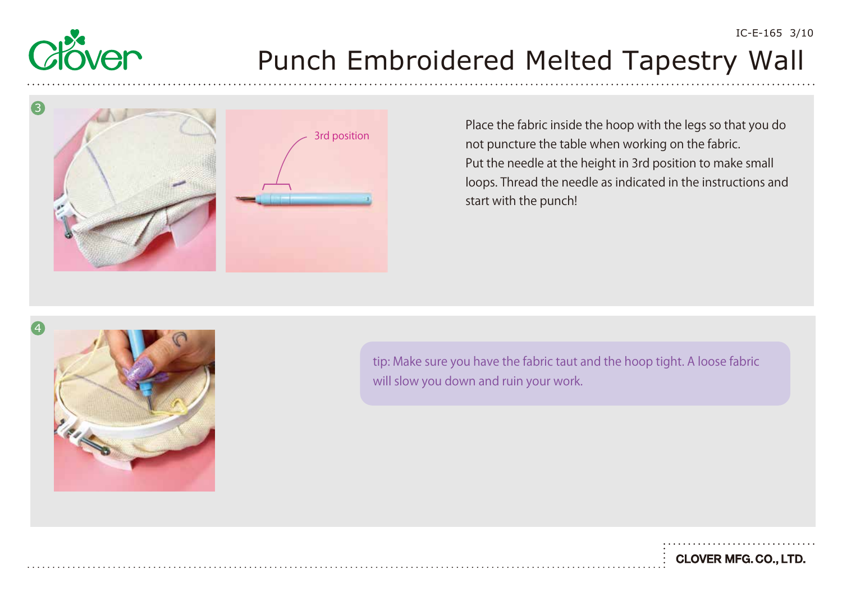



Place the fabric inside the hoop with the legs so that you do not puncture the table when working on the fabric. Put the needle at the height in 3rd position to make small loops. Thread the needle as indicated in the instructions and start with the punch!



tip: Make sure you have the fabric taut and the hoop tight. A loose fabric will slow you down and ruin your work.

**CLOVER MFG. CO., LTD.**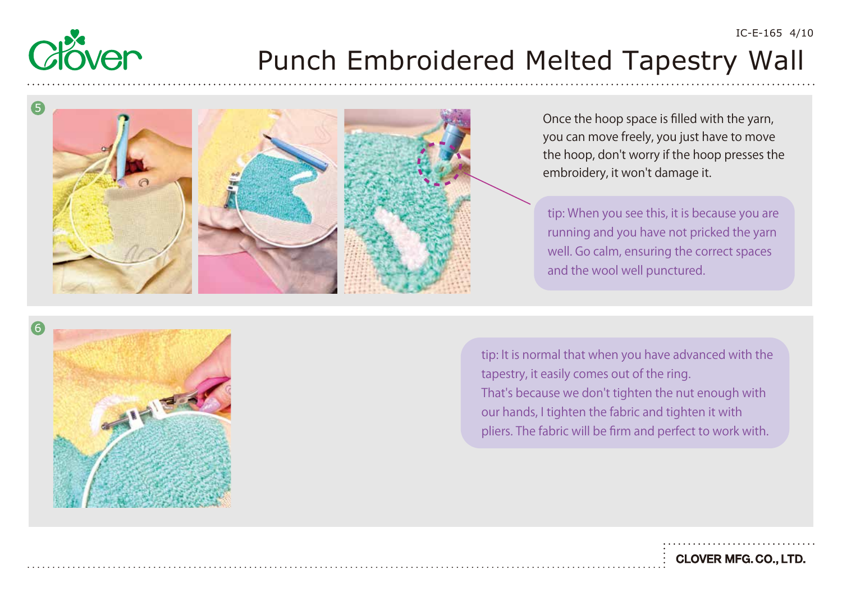



Once the hoop space is filled with the yarn, you can move freely, you just have to move the hoop, don't worry if the hoop presses the embroidery, it won't damage it.

IC-E-165 4/10

tip: When you see this, it is because you are running and you have not pricked the yarn well. Go calm, ensuring the correct spaces and the wool well punctured.



tip: It is normal that when you have advanced with the tapestry, it easily comes out of the ring. That's because we don't tighten the nut enough with our hands, I tighten the fabric and tighten it with pliers. The fabric will be firm and perfect to work with.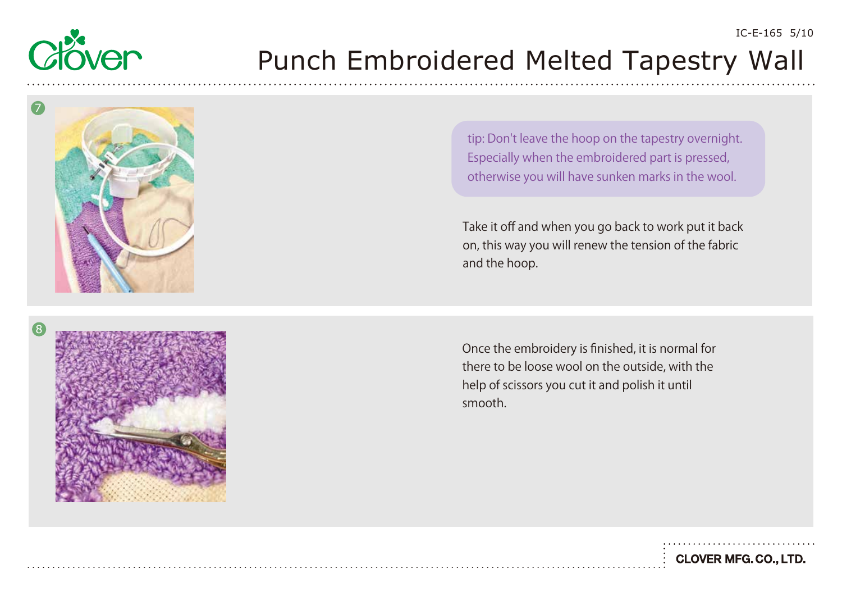



Take it off and when you go back to work put it back on, this way you will renew the tension of the fabric and the hoop.



Once the embroidery is finished, it is normal for there to be loose wool on the outside, with the help of scissors you cut it and polish it until smooth.

IC-E-165 5/10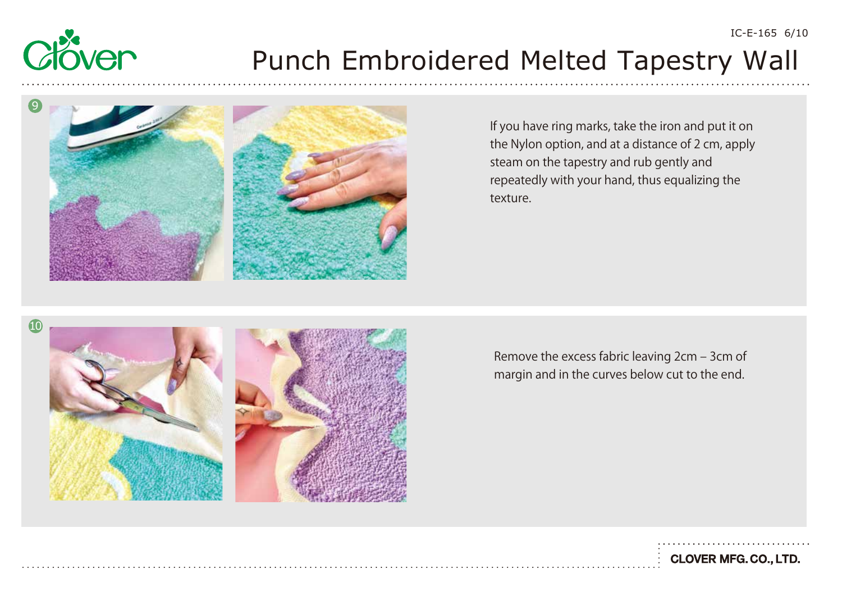



If you have ring marks, take the iron and put it on the Nylon option, and at a distance of 2 cm, apply steam on the tapestry and rub gently and repeatedly with your hand, thus equalizing the texture.

IC-E-165 6/10

**CLOVER MFG. CO., LTD.** 



Remove the excess fabric leaving 2cm ‒ 3cm of margin and in the curves below cut to the end.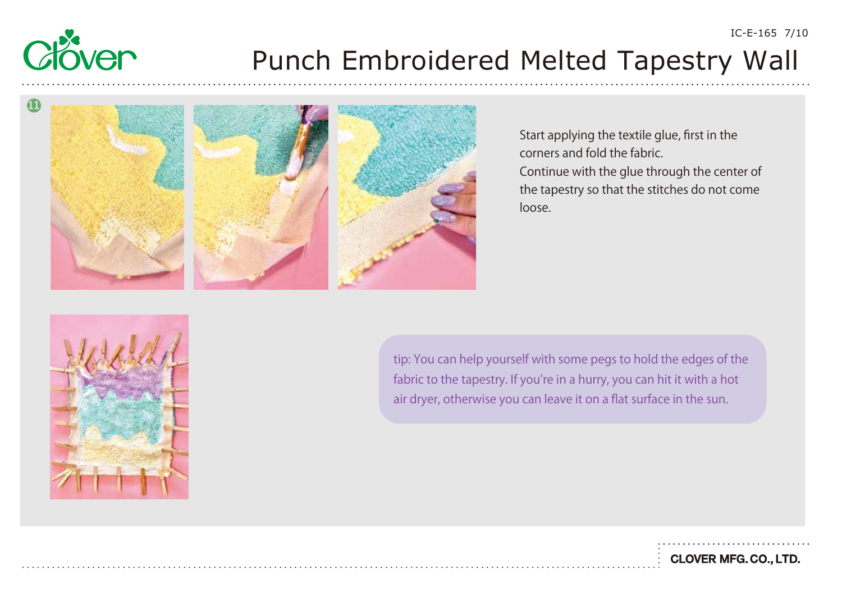







Start applying the textile glue, first in the corners and fold the fabric. Continue with the glue through the center of the tapestry so that the stitches do not come loose.



tip: You can help yourself with some pegs to hold the edges of the fabric to the tapestry. If you're in a hurry, you can hit it with a hot air dryer, otherwise you can leave it on a flat surface in the sun.

IC-E-165 7/10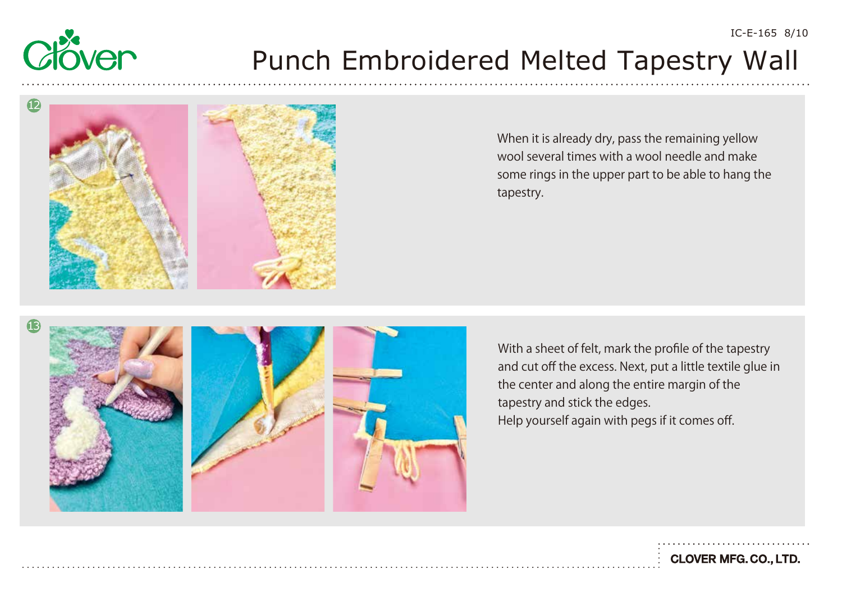# Ven

# Punch Embroidered Melted Tapestry Wall



When it is already dry, pass the remaining yellow wool several times with a wool needle and make some rings in the upper part to be able to hang the tapestry.



With a sheet of felt, mark the profile of the tapestry and cut off the excess. Next, put a little textile glue in the center and along the entire margin of the tapestry and stick the edges. Help yourself again with pegs if it comes off.

**CLOVER MFG. CO., LTD.**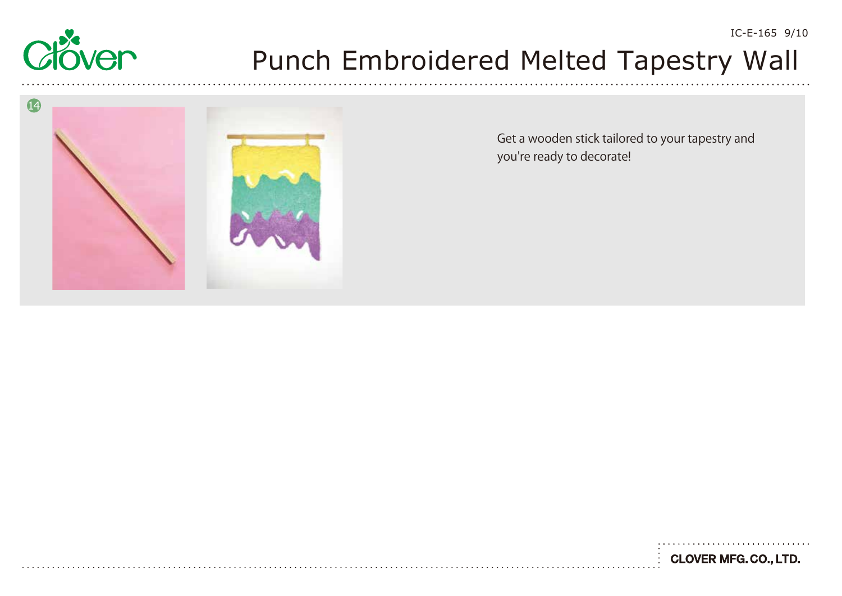



Get a wooden stick tailored to your tapestry and you're ready to decorate!

**CLOVER MFG. CO., LTD.** 

IC-E-165 9/10